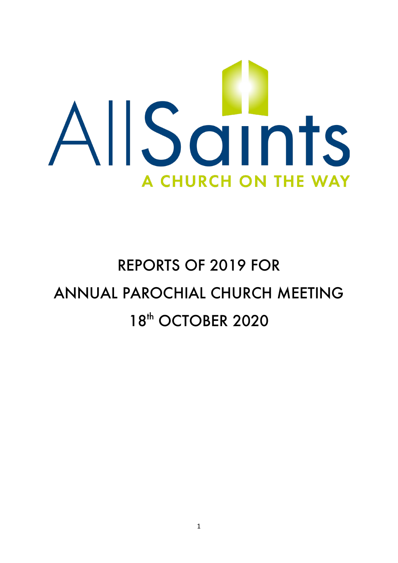

# REPORTS OF 2019 FOR ANNUAL PAROCHIAL CHURCH MEETING 18<sup>th</sup> OCTOBER 2020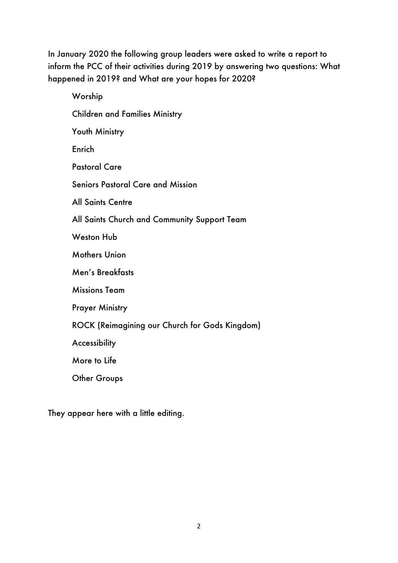In January 2020 the following group leaders were asked to write a report to inform the PCC of their activities during 2019 by answering two questions: What happened in 2019? and What are your hopes for 2020?

| Worship                                        |
|------------------------------------------------|
| <b>Children and Families Ministry</b>          |
| Youth Ministry                                 |
| Enrich                                         |
| <b>Pastoral Care</b>                           |
| <b>Seniors Pastoral Care and Mission</b>       |
| <b>All Saints Centre</b>                       |
| All Saints Church and Community Support Team   |
| <b>Weston Hub</b>                              |
| <b>Mothers Union</b>                           |
| Men's Breakfasts                               |
| <b>Missions Team</b>                           |
| <b>Prayer Ministry</b>                         |
| ROCK (Reimagining our Church for Gods Kingdom) |
| Accessibility                                  |
| More to Life                                   |
| <b>Other Groups</b>                            |
|                                                |

They appear here with a little editing.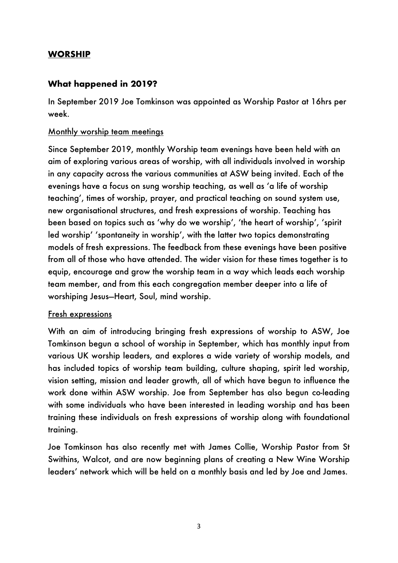## **WORSHIP**

# **What happened in 2019?**

In September 2019 Joe Tomkinson was appointed as Worship Pastor at 16hrs per week.

#### Monthly worship team meetings

Since September 2019, monthly Worship team evenings have been held with an aim of exploring various areas of worship, with all individuals involved in worship in any capacity across the various communities at ASW being invited. Each of the evenings have a focus on sung worship teaching, as well as 'a life of worship teaching', times of worship, prayer, and practical teaching on sound system use, new organisational structures, and fresh expressions of worship. Teaching has been based on topics such as 'why do we worship', 'the heart of worship', 'spirit led worship' 'spontaneity in worship', with the latter two topics demonstrating models of fresh expressions. The feedback from these evenings have been positive from all of those who have attended. The wider vision for these times together is to equip, encourage and grow the worship team in a way which leads each worship team member, and from this each congregation member deeper into a life of worshiping Jesus—Heart, Soul, mind worship.

#### Fresh expressions

With an aim of introducing bringing fresh expressions of worship to ASW, Joe Tomkinson begun a school of worship in September, which has monthly input from various UK worship leaders, and explores a wide variety of worship models, and has included topics of worship team building, culture shaping, spirit led worship, vision setting, mission and leader growth, all of which have begun to influence the work done within ASW worship. Joe from September has also begun co-leading with some individuals who have been interested in leading worship and has been training these individuals on fresh expressions of worship along with foundational training.

Joe Tomkinson has also recently met with James Collie, Worship Pastor from St Swithins, Walcot, and are now beginning plans of creating a New Wine Worship leaders' network which will be held on a monthly basis and led by Joe and James.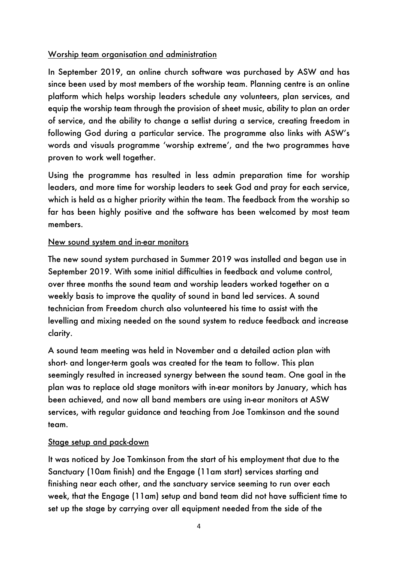## Worship team organisation and administration

In September 2019, an online church software was purchased by ASW and has since been used by most members of the worship team. Planning centre is an online platform which helps worship leaders schedule any volunteers, plan services, and equip the worship team through the provision of sheet music, ability to plan an order of service, and the ability to change a setlist during a service, creating freedom in following God during a particular service. The programme also links with ASW's words and visuals programme 'worship extreme', and the two programmes have proven to work well together.

Using the programme has resulted in less admin preparation time for worship leaders, and more time for worship leaders to seek God and pray for each service, which is held as a higher priority within the team. The feedback from the worship so far has been highly positive and the software has been welcomed by most team members.

# New sound system and in-ear monitors

The new sound system purchased in Summer 2019 was installed and began use in September 2019. With some initial difficulties in feedback and volume control, over three months the sound team and worship leaders worked together on a weekly basis to improve the quality of sound in band led services. A sound technician from Freedom church also volunteered his time to assist with the levelling and mixing needed on the sound system to reduce feedback and increase clarity.

A sound team meeting was held in November and a detailed action plan with short- and longer-term goals was created for the team to follow. This plan seemingly resulted in increased synergy between the sound team. One goal in the plan was to replace old stage monitors with in-ear monitors by January, which has been achieved, and now all band members are using in-ear monitors at ASW services, with regular guidance and teaching from Joe Tomkinson and the sound team.

# Stage setup and pack-down

It was noticed by Joe Tomkinson from the start of his employment that due to the Sanctuary (10am finish) and the Engage (11am start) services starting and finishing near each other, and the sanctuary service seeming to run over each week, that the Engage (11am) setup and band team did not have sufficient time to set up the stage by carrying over all equipment needed from the side of the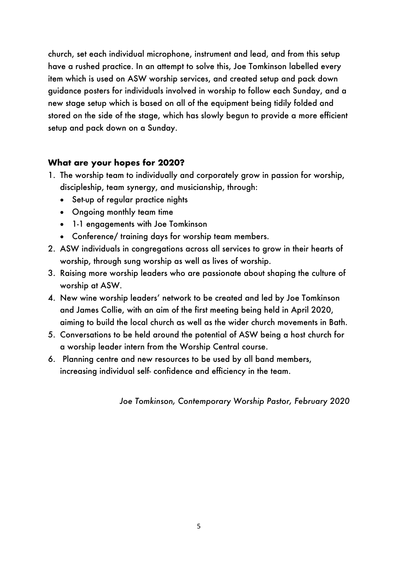church, set each individual microphone, instrument and lead, and from this setup have a rushed practice. In an attempt to solve this, Joe Tomkinson labelled every item which is used on ASW worship services, and created setup and pack down guidance posters for individuals involved in worship to follow each Sunday, and a new stage setup which is based on all of the equipment being tidily folded and stored on the side of the stage, which has slowly begun to provide a more efficient setup and pack down on a Sunday.

# **What are your hopes for 2020?**

- 1. The worship team to individually and corporately grow in passion for worship, discipleship, team synergy, and musicianship, through:
	- Set-up of regular practice nights
	- Ongoing monthly team time
	- 1-1 engagements with Joe Tomkinson
	- Conference/ training days for worship team members.
- 2. ASW individuals in congregations across all services to grow in their hearts of worship, through sung worship as well as lives of worship.
- 3. Raising more worship leaders who are passionate about shaping the culture of worship at ASW.
- 4. New wine worship leaders' network to be created and led by Joe Tomkinson and James Collie, with an aim of the first meeting being held in April 2020, aiming to build the local church as well as the wider church movements in Bath.
- 5. Conversations to be held around the potential of ASW being a host church for a worship leader intern from the Worship Central course.
- 6. Planning centre and new resources to be used by all band members, increasing individual self- confidence and efficiency in the team.

*Joe Tomkinson, Contemporary Worship Pastor, February 2020*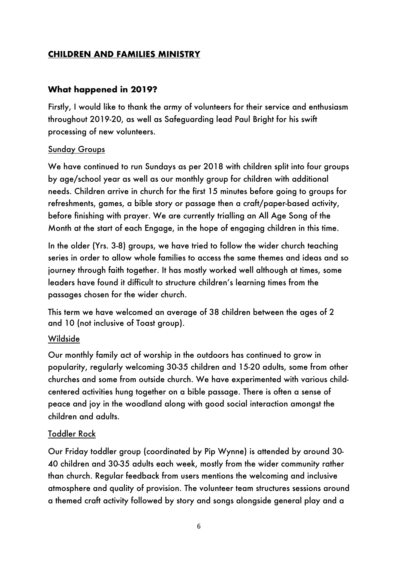# **CHILDREN AND FAMILIES MINISTRY**

## **What happened in 2019?**

Firstly, I would like to thank the army of volunteers for their service and enthusiasm throughout 2019-20, as well as Safeguarding lead Paul Bright for his swift processing of new volunteers.

## Sunday Groups

We have continued to run Sundays as per 2018 with children split into four groups by age/school year as well as our monthly group for children with additional needs. Children arrive in church for the first 15 minutes before going to groups for refreshments, games, a bible story or passage then a craft/paper-based activity, before finishing with prayer. We are currently trialling an All Age Song of the Month at the start of each Engage, in the hope of engaging children in this time.

In the older (Yrs. 3-8) groups, we have tried to follow the wider church teaching series in order to allow whole families to access the same themes and ideas and so journey through faith together. It has mostly worked well although at times, some leaders have found it difficult to structure children's learning times from the passages chosen for the wider church.

This term we have welcomed an average of 38 children between the ages of 2 and 10 (not inclusive of Toast group).

## Wildside

Our monthly family act of worship in the outdoors has continued to grow in popularity, regularly welcoming 30-35 children and 15-20 adults, some from other churches and some from outside church. We have experimented with various childcentered activities hung together on a bible passage. There is often a sense of peace and joy in the woodland along with good social interaction amongst the children and adults.

## Toddler Rock

Our Friday toddler group (coordinated by Pip Wynne) is attended by around 30- 40 children and 30-35 adults each week, mostly from the wider community rather than church. Regular feedback from users mentions the welcoming and inclusive atmosphere and quality of provision. The volunteer team structures sessions around a themed craft activity followed by story and songs alongside general play and a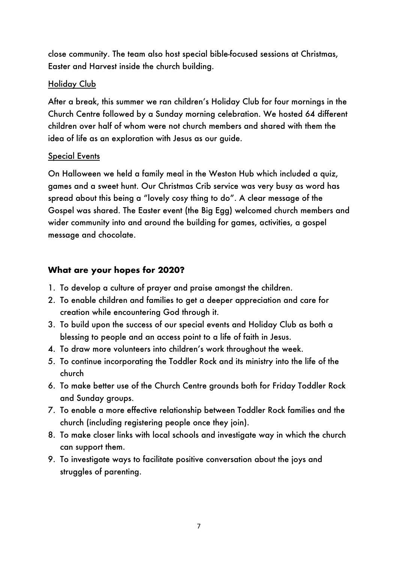close community. The team also host special bible-focused sessions at Christmas, Easter and Harvest inside the church building.

## Holiday Club

After a break, this summer we ran children's Holiday Club for four mornings in the Church Centre followed by a Sunday morning celebration. We hosted 64 different children over half of whom were not church members and shared with them the idea of life as an exploration with Jesus as our guide.

## Special Events

On Halloween we held a family meal in the Weston Hub which included a quiz, games and a sweet hunt. Our Christmas Crib service was very busy as word has spread about this being a "lovely cosy thing to do". A clear message of the Gospel was shared. The Easter event (the Big Egg) welcomed church members and wider community into and around the building for games, activities, a gospel message and chocolate.

# **What are your hopes for 2020?**

- 1. To develop a culture of prayer and praise amongst the children.
- 2. To enable children and families to get a deeper appreciation and care for creation while encountering God through it.
- 3. To build upon the success of our special events and Holiday Club as both a blessing to people and an access point to a life of faith in Jesus.
- 4. To draw more volunteers into children's work throughout the week.
- 5. To continue incorporating the Toddler Rock and its ministry into the life of the church
- 6. To make better use of the Church Centre grounds both for Friday Toddler Rock and Sunday groups.
- 7. To enable a more effective relationship between Toddler Rock families and the church (including registering people once they join).
- 8. To make closer links with local schools and investigate way in which the church can support them.
- 9. To investigate ways to facilitate positive conversation about the joys and struggles of parenting.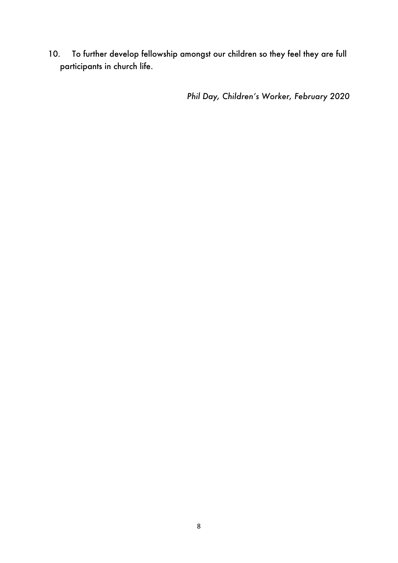10. To further develop fellowship amongst our children so they feel they are full participants in church life.

*Phil Day, Children's Worker, February 2020*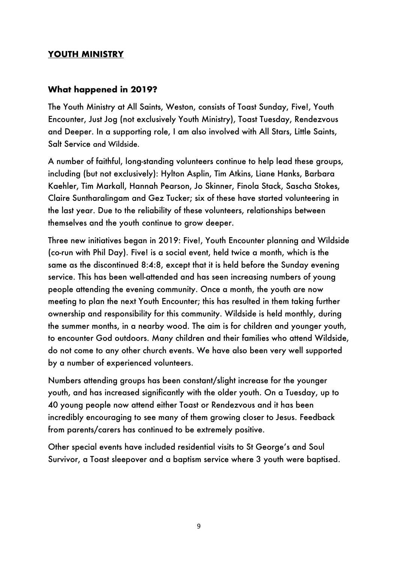## **YOUTH MINISTRY**

## **What happened in 2019?**

The Youth Ministry at All Saints, Weston, consists of Toast Sunday, Five!, Youth Encounter, Just Jog (not exclusively Youth Ministry), Toast Tuesday, Rendezvous and Deeper. In a supporting role, I am also involved with All Stars, Little Saints, Salt Service and Wildside.

A number of faithful, long-standing volunteers continue to help lead these groups, including (but not exclusively): Hylton Asplin, Tim Atkins, Liane Hanks, Barbara Kaehler, Tim Markall, Hannah Pearson, Jo Skinner, Finola Stack, Sascha Stokes, Claire Suntharalingam and Gez Tucker; six of these have started volunteering in the last year. Due to the reliability of these volunteers, relationships between themselves and the youth continue to grow deeper.

Three new initiatives began in 2019: Five!, Youth Encounter planning and Wildside (co-run with Phil Day). Five! is a social event, held twice a month, which is the same as the discontinued 8:4:8, except that it is held before the Sunday evening service. This has been well-attended and has seen increasing numbers of young people attending the evening community. Once a month, the youth are now meeting to plan the next Youth Encounter; this has resulted in them taking further ownership and responsibility for this community. Wildside is held monthly, during the summer months, in a nearby wood. The aim is for children and younger youth, to encounter God outdoors. Many children and their families who attend Wildside, do not come to any other church events. We have also been very well supported by a number of experienced volunteers.

Numbers attending groups has been constant/slight increase for the younger youth, and has increased significantly with the older youth. On a Tuesday, up to 40 young people now attend either Toast or Rendezvous and it has been incredibly encouraging to see many of them growing closer to Jesus. Feedback from parents/carers has continued to be extremely positive.

Other special events have included residential visits to St George's and Soul Survivor, a Toast sleepover and a baptism service where 3 youth were baptised.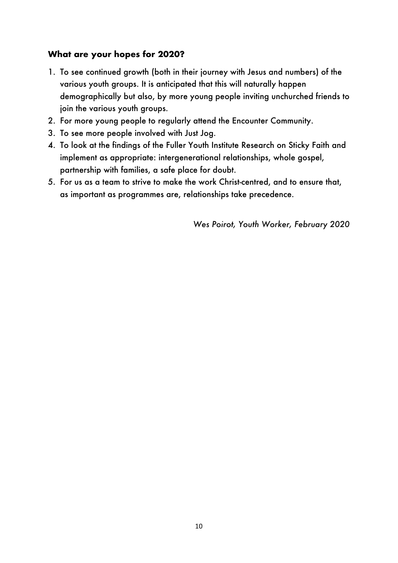## **What are your hopes for 2020?**

- 1. To see continued growth (both in their journey with Jesus and numbers) of the various youth groups. It is anticipated that this will naturally happen demographically but also, by more young people inviting unchurched friends to join the various youth groups.
- 2. For more young people to regularly attend the Encounter Community.
- 3. To see more people involved with Just Jog.
- 4. To look at the findings of the Fuller Youth Institute Research on Sticky Faith and implement as appropriate: intergenerational relationships, whole gospel, partnership with families, a safe place for doubt.
- 5. For us as a team to strive to make the work Christ-centred, and to ensure that, as important as programmes are, relationships take precedence.

*Wes Poirot, Youth Worker, February 2020*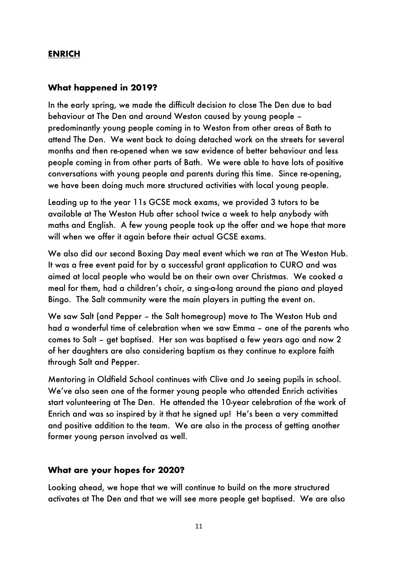## **ENRICH**

#### **What happened in 2019?**

In the early spring, we made the difficult decision to close The Den due to bad behaviour at The Den and around Weston caused by young people – predominantly young people coming in to Weston from other areas of Bath to attend The Den. We went back to doing detached work on the streets for several months and then re-opened when we saw evidence of better behaviour and less people coming in from other parts of Bath. We were able to have lots of positive conversations with young people and parents during this time. Since re-opening, we have been doing much more structured activities with local young people.

Leading up to the year 11s GCSE mock exams, we provided 3 tutors to be available at The Weston Hub after school twice a week to help anybody with maths and English. A few young people took up the offer and we hope that more will when we offer it again before their actual GCSE exams.

We also did our second Boxing Day meal event which we ran at The Weston Hub. It was a free event paid for by a successful grant application to CURO and was aimed at local people who would be on their own over Christmas. We cooked a meal for them, had a children's choir, a sing-a-long around the piano and played Bingo. The Salt community were the main players in putting the event on.

We saw Salt (and Pepper – the Salt homegroup) move to The Weston Hub and had a wonderful time of celebration when we saw Emma – one of the parents who comes to Salt – get baptised. Her son was baptised a few years ago and now 2 of her daughters are also considering baptism as they continue to explore faith through Salt and Pepper.

Mentoring in Oldfield School continues with Clive and Jo seeing pupils in school. We've also seen one of the former young people who attended Enrich activities start volunteering at The Den. He attended the 10-year celebration of the work of Enrich and was so inspired by it that he signed up! He's been a very committed and positive addition to the team. We are also in the process of getting another former young person involved as well.

#### **What are your hopes for 2020?**

Looking ahead, we hope that we will continue to build on the more structured activates at The Den and that we will see more people get baptised. We are also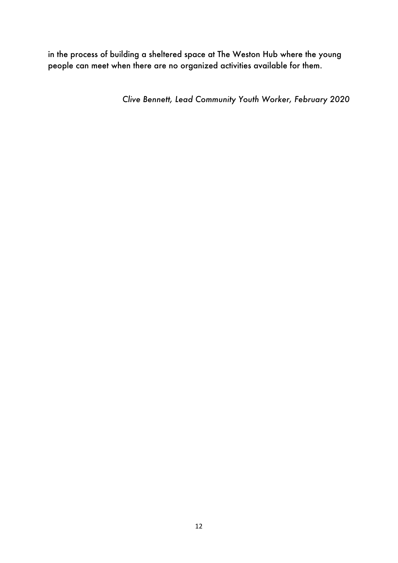in the process of building a sheltered space at The Weston Hub where the young people can meet when there are no organized activities available for them.

*Clive Bennett, Lead Community Youth Worker, February 2020*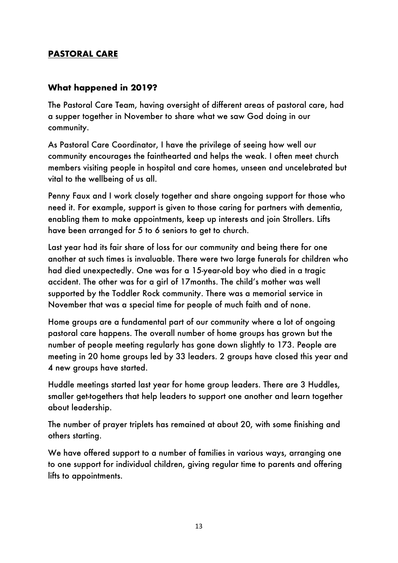# **PASTORAL CARE**

## **What happened in 2019?**

The Pastoral Care Team, having oversight of different areas of pastoral care, had a supper together in November to share what we saw God doing in our community.

As Pastoral Care Coordinator, I have the privilege of seeing how well our community encourages the fainthearted and helps the weak. I often meet church members visiting people in hospital and care homes, unseen and uncelebrated but vital to the wellbeing of us all.

Penny Faux and I work closely together and share ongoing support for those who need it. For example, support is given to those caring for partners with dementia, enabling them to make appointments, keep up interests and join Strollers. Lifts have been arranged for 5 to 6 seniors to get to church.

Last year had its fair share of loss for our community and being there for one another at such times is invaluable. There were two large funerals for children who had died unexpectedly. One was for a 15-year-old boy who died in a tragic accident. The other was for a girl of 17months. The child's mother was well supported by the Toddler Rock community. There was a memorial service in November that was a special time for people of much faith and of none.

Home groups are a fundamental part of our community where a lot of ongoing pastoral care happens. The overall number of home groups has grown but the number of people meeting regularly has gone down slightly to 173. People are meeting in 20 home groups led by 33 leaders. 2 groups have closed this year and 4 new groups have started.

Huddle meetings started last year for home group leaders. There are 3 Huddles, smaller get-togethers that help leaders to support one another and learn together about leadership.

The number of prayer triplets has remained at about 20, with some finishing and others starting.

We have offered support to a number of families in various ways, arranging one to one support for individual children, giving regular time to parents and offering lifts to appointments.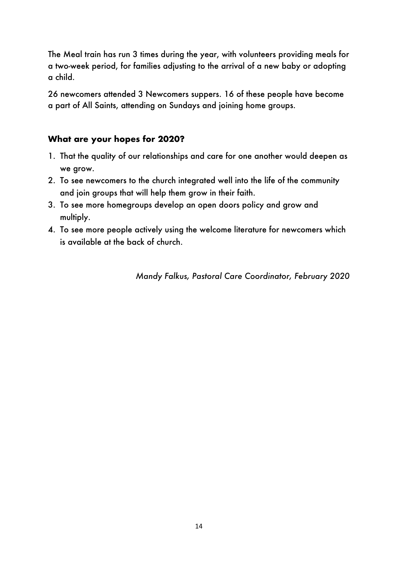The Meal train has run 3 times during the year, with volunteers providing meals for a two-week period, for families adjusting to the arrival of a new baby or adopting a child.

26 newcomers attended 3 Newcomers suppers. 16 of these people have become a part of All Saints, attending on Sundays and joining home groups.

# **What are your hopes for 2020?**

- 1. That the quality of our relationships and care for one another would deepen as we grow.
- 2. To see newcomers to the church integrated well into the life of the community and join groups that will help them grow in their faith.
- 3. To see more homegroups develop an open doors policy and grow and multiply.
- 4. To see more people actively using the welcome literature for newcomers which is available at the back of church.

*Mandy Falkus, Pastoral Care Coordinator, February 2020*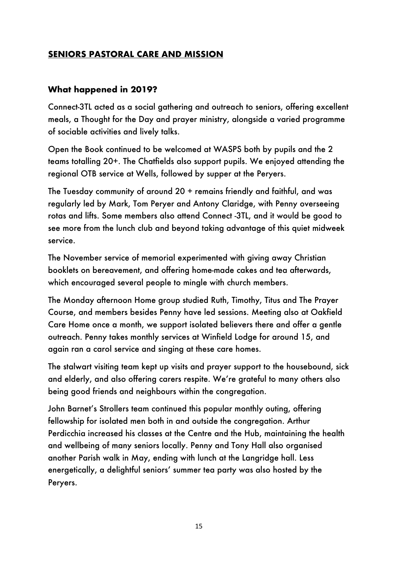# **SENIORS PASTORAL CARE AND MISSION**

## **What happened in 2019?**

Connect-3TL acted as a social gathering and outreach to seniors, offering excellent meals, a Thought for the Day and prayer ministry, alongside a varied programme of sociable activities and lively talks.

Open the Book continued to be welcomed at WASPS both by pupils and the 2 teams totalling 20+. The Chatfields also support pupils. We enjoyed attending the regional OTB service at Wells, followed by supper at the Peryers.

The Tuesday community of around 20 + remains friendly and faithful, and was regularly led by Mark, Tom Peryer and Antony Claridge, with Penny overseeing rotas and lifts. Some members also attend Connect -3TL, and it would be good to see more from the lunch club and beyond taking advantage of this quiet midweek service.

The November service of memorial experimented with giving away Christian booklets on bereavement, and offering home-made cakes and tea afterwards, which encouraged several people to mingle with church members.

The Monday afternoon Home group studied Ruth, Timothy, Titus and The Prayer Course, and members besides Penny have led sessions. Meeting also at Oakfield Care Home once a month, we support isolated believers there and offer a gentle outreach. Penny takes monthly services at Winfield Lodge for around 15, and again ran a carol service and singing at these care homes.

The stalwart visiting team kept up visits and prayer support to the housebound, sick and elderly, and also offering carers respite. We're grateful to many others also being good friends and neighbours within the congregation.

John Barnet's Strollers team continued this popular monthly outing, offering fellowship for isolated men both in and outside the congregation. Arthur Perdicchia increased his classes at the Centre and the Hub, maintaining the health and wellbeing of many seniors locally. Penny and Tony Hall also organised another Parish walk in May, ending with lunch at the Langridge hall. Less energetically, a delightful seniors' summer tea party was also hosted by the Peryers.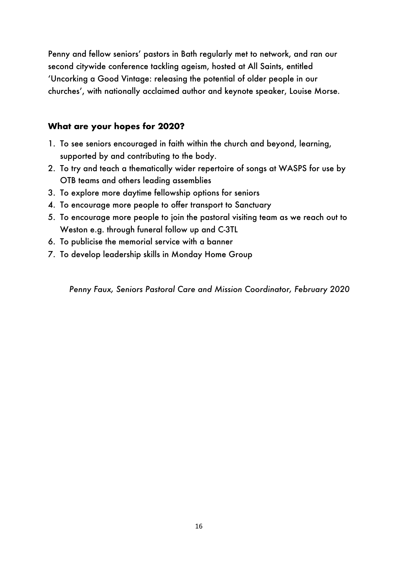Penny and fellow seniors' pastors in Bath regularly met to network, and ran our second citywide conference tackling ageism, hosted at All Saints, entitled 'Uncorking a Good Vintage: releasing the potential of older people in our churches', with nationally acclaimed author and keynote speaker, Louise Morse.

## **What are your hopes for 2020?**

- 1. To see seniors encouraged in faith within the church and beyond, learning, supported by and contributing to the body.
- 2. To try and teach a thematically wider repertoire of songs at WASPS for use by OTB teams and others leading assemblies
- 3. To explore more daytime fellowship options for seniors
- 4. To encourage more people to offer transport to Sanctuary
- 5. To encourage more people to join the pastoral visiting team as we reach out to Weston e.g. through funeral follow up and C-3TL
- 6. To publicise the memorial service with a banner
- 7. To develop leadership skills in Monday Home Group

*Penny Faux, Seniors Pastoral Care and Mission Coordinator, February 2020*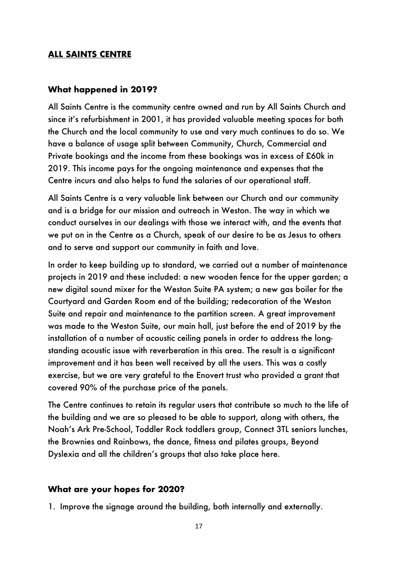#### **ALL SAINTS CENTRE**

#### **What happened in 2019?**

All Saints Centre is the community centre owned and run by All Saints Church and since it's refurbishment in 2001, it has provided valuable meeting spaces for both the Church and the local community to use and very much continues to do so. We have a balance of usage split between Community, Church, Commercial and Private bookings and the income from these bookings was in excess of £60k in 2019. This income pays for the ongoing maintenance and expenses that the Centre incurs and also helps to fund the salaries of our operational staff.

All Saints Centre is a very valuable link between our Church and our community and is a bridge for our mission and outreach in Weston. The way in which we conduct ourselves in our dealings with those we interact with, and the events that we put on in the Centre as a Church, speak of our desire to be as Jesus to others and to serve and support our community in faith and love.

In order to keep building up to standard, we carried out a number of maintenance projects in 2019 and these included: a new wooden fence for the upper garden; a new digital sound mixer for the Weston Suite PA system; a new gas boiler for the Courtyard and Garden Room end of the building; redecoration of the Weston Suite and repair and maintenance to the partition screen. A great improvement was made to the Weston Suite, our main hall, just before the end of 2019 by the installation of a number of acoustic ceiling panels in order to address the longstanding acoustic issue with reverberation in this area. The result is a significant improvement and it has been well received by all the users. This was a costly exercise, but we are very grateful to the Enovert trust who provided a grant that covered 90% of the purchase price of the panels.

The Centre continues to retain its regular users that contribute so much to the life of the building and we are so pleased to be able to support, along with others, the Noah's Ark Pre-School, Toddler Rock toddlers group, Connect 3TL seniors lunches, the Brownies and Rainbows, the dance, fitness and pilates groups, Beyond Dyslexia and all the children's groups that also take place here.

#### **What are your hopes for 2020?**

1. Improve the signage around the building, both internally and externally.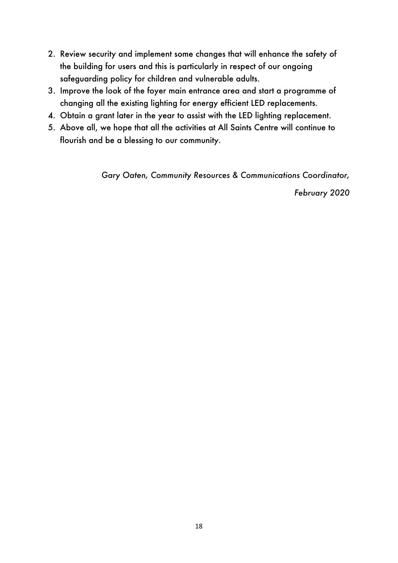- 2. Review security and implement some changes that will enhance the safety of the building for users and this is particularly in respect of our ongoing safeguarding policy for children and vulnerable adults.
- 3. Improve the look of the foyer main entrance area and start a programme of changing all the existing lighting for energy efficient LED replacements.
- 4. Obtain a grant later in the year to assist with the LED lighting replacement.
- 5. Above all, we hope that all the activities at All Saints Centre will continue to flourish and be a blessing to our community.

*Gary Oaten, Community Resources & Communications Coordinator,* 

*February 2020*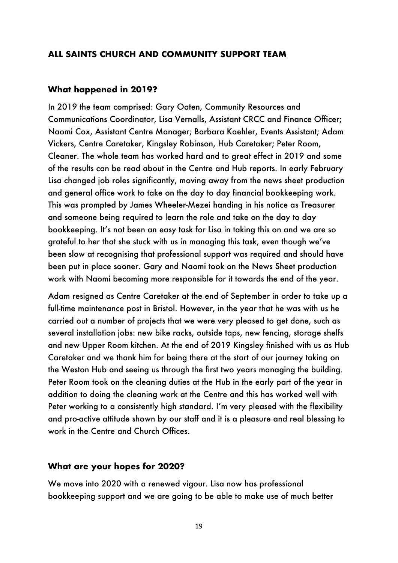#### **ALL SAINTS CHURCH AND COMMUNITY SUPPORT TEAM**

#### **What happened in 2019?**

In 2019 the team comprised: Gary Oaten, Community Resources and Communications Coordinator, Lisa Vernalls, Assistant CRCC and Finance Officer; Naomi Cox, Assistant Centre Manager; Barbara Kaehler, Events Assistant; Adam Vickers, Centre Caretaker, Kingsley Robinson, Hub Caretaker; Peter Room, Cleaner. The whole team has worked hard and to great effect in 2019 and some of the results can be read about in the Centre and Hub reports. In early February Lisa changed job roles significantly, moving away from the news sheet production and general office work to take on the day to day financial bookkeeping work. This was prompted by James Wheeler-Mezei handing in his notice as Treasurer and someone being required to learn the role and take on the day to day bookkeeping. It's not been an easy task for Lisa in taking this on and we are so grateful to her that she stuck with us in managing this task, even though we've been slow at recognising that professional support was required and should have been put in place sooner. Gary and Naomi took on the News Sheet production work with Naomi becoming more responsible for it towards the end of the year.

Adam resigned as Centre Caretaker at the end of September in order to take up a full-time maintenance post in Bristol. However, in the year that he was with us he carried out a number of projects that we were very pleased to get done, such as several installation jobs: new bike racks, outside taps, new fencing, storage shelfs and new Upper Room kitchen. At the end of 2019 Kingsley finished with us as Hub Caretaker and we thank him for being there at the start of our journey taking on the Weston Hub and seeing us through the first two years managing the building. Peter Room took on the cleaning duties at the Hub in the early part of the year in addition to doing the cleaning work at the Centre and this has worked well with Peter working to a consistently high standard. I'm very pleased with the flexibility and pro-active attitude shown by our staff and it is a pleasure and real blessing to work in the Centre and Church Offices.

#### **What are your hopes for 2020?**

We move into 2020 with a renewed vigour. Lisa now has professional bookkeeping support and we are going to be able to make use of much better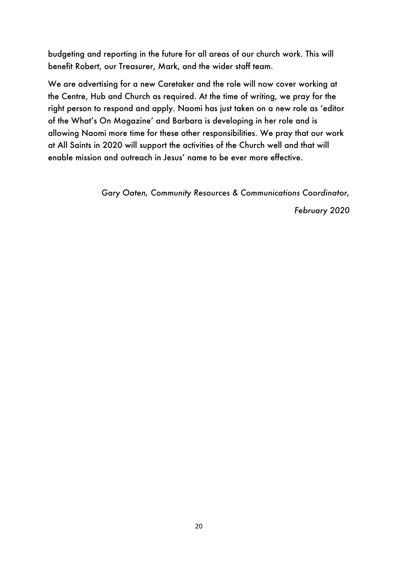budgeting and reporting in the future for all areas of our church work. This will benefit Robert, our Treasurer, Mark, and the wider staff team.

We are advertising for a new Caretaker and the role will now cover working at the Centre, Hub and Church as required. At the time of writing, we pray for the right person to respond and apply. Naomi has just taken on a new role as 'editor of the What's On Magazine' and Barbara is developing in her role and is allowing Naomi more time for these other responsibilities. We pray that our work at All Saints in 2020 will support the activities of the Church well and that will enable mission and outreach in Jesus' name to be ever more effective.

*Gary Oaten, Community Resources & Communications Coordinator,* 

*February 2020*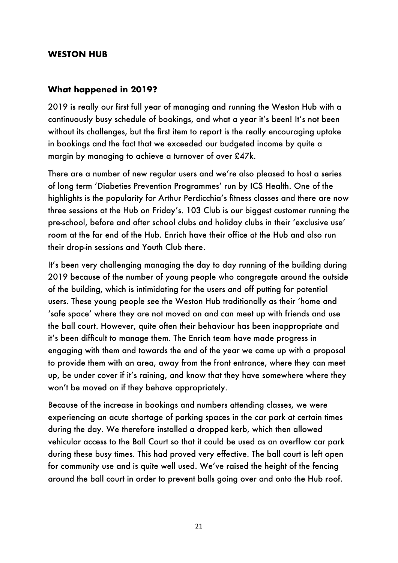#### **WESTON HUB**

#### **What happened in 2019?**

2019 is really our first full year of managing and running the Weston Hub with a continuously busy schedule of bookings, and what a year it's been! It's not been without its challenges, but the first item to report is the really encouraging uptake in bookings and the fact that we exceeded our budgeted income by quite a margin by managing to achieve a turnover of over £47k.

There are a number of new regular users and we're also pleased to host a series of long term 'Diabeties Prevention Programmes' run by ICS Health. One of the highlights is the popularity for Arthur Perdicchia's fitness classes and there are now three sessions at the Hub on Friday's. 103 Club is our biggest customer running the pre-school, before and after school clubs and holiday clubs in their 'exclusive use' room at the far end of the Hub. Enrich have their office at the Hub and also run their drop-in sessions and Youth Club there.

It's been very challenging managing the day to day running of the building during 2019 because of the number of young people who congregate around the outside of the building, which is intimidating for the users and off putting for potential users. These young people see the Weston Hub traditionally as their 'home and 'safe space' where they are not moved on and can meet up with friends and use the ball court. However, quite often their behaviour has been inappropriate and it's been difficult to manage them. The Enrich team have made progress in engaging with them and towards the end of the year we came up with a proposal to provide them with an area, away from the front entrance, where they can meet up, be under cover if it's raining, and know that they have somewhere where they won't be moved on if they behave appropriately.

Because of the increase in bookings and numbers attending classes, we were experiencing an acute shortage of parking spaces in the car park at certain times during the day. We therefore installed a dropped kerb, which then allowed vehicular access to the Ball Court so that it could be used as an overflow car park during these busy times. This had proved very effective. The ball court is left open for community use and is quite well used. We've raised the height of the fencing around the ball court in order to prevent balls going over and onto the Hub roof.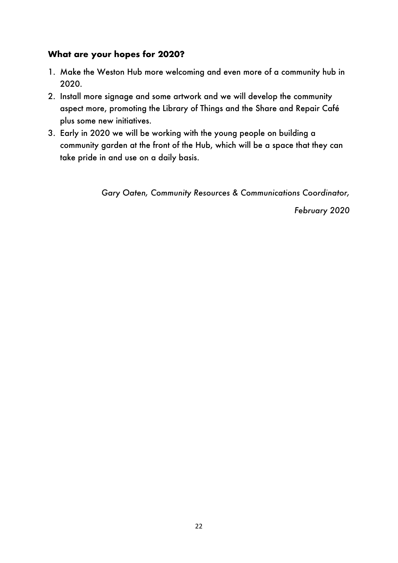## **What are your hopes for 2020?**

- 1. Make the Weston Hub more welcoming and even more of a community hub in 2020.
- 2. Install more signage and some artwork and we will develop the community aspect more, promoting the Library of Things and the Share and Repair Café plus some new initiatives.
- 3. Early in 2020 we will be working with the young people on building a community garden at the front of the Hub, which will be a space that they can take pride in and use on a daily basis.

*Gary Oaten, Community Resources & Communications Coordinator,*

*February 2020*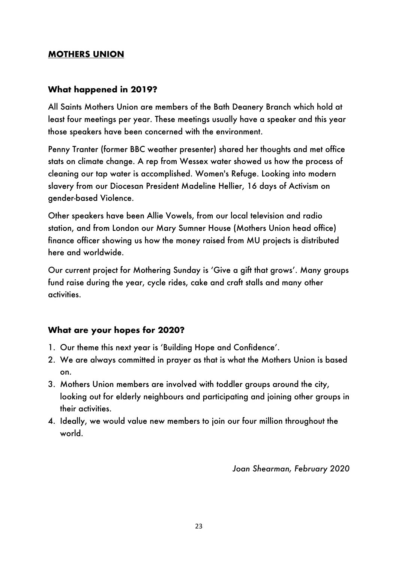## **MOTHERS UNION**

## **What happened in 2019?**

All Saints Mothers Union are members of the Bath Deanery Branch which hold at least four meetings per year. These meetings usually have a speaker and this year those speakers have been concerned with the environment.

Penny Tranter (former BBC weather presenter) shared her thoughts and met office stats on climate change. A rep from Wessex water showed us how the process of cleaning our tap water is accomplished. Women's Refuge. Looking into modern slavery from our Diocesan President Madeline Hellier, 16 days of Activism on gender-based Violence.

Other speakers have been Allie Vowels, from our local television and radio station, and from London our Mary Sumner House (Mothers Union head office) finance officer showing us how the money raised from MU projects is distributed here and worldwide.

Our current project for Mothering Sunday is 'Give a gift that grows'. Many groups fund raise during the year, cycle rides, cake and craft stalls and many other activities.

#### **What are your hopes for 2020?**

- 1. Our theme this next year is 'Building Hope and Confidence'.
- 2. We are always committed in prayer as that is what the Mothers Union is based on.
- 3. Mothers Union members are involved with toddler groups around the city, looking out for elderly neighbours and participating and joining other groups in their activities.
- 4. Ideally, we would value new members to join our four million throughout the world.

*Joan Shearman, February 2020*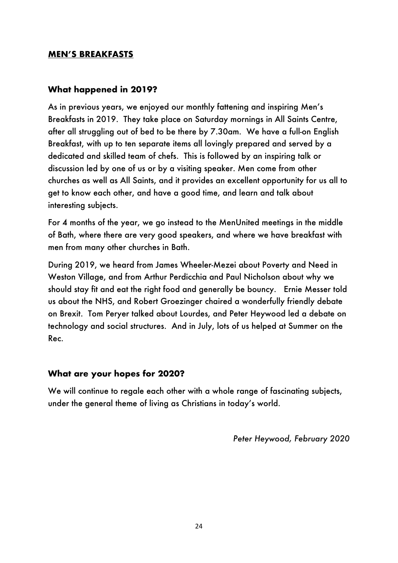## **MEN'S BREAKFASTS**

## **What happened in 2019?**

As in previous years, we enjoyed our monthly fattening and inspiring Men's Breakfasts in 2019. They take place on Saturday mornings in All Saints Centre, after all struggling out of bed to be there by 7.30am. We have a full-on English Breakfast, with up to ten separate items all lovingly prepared and served by a dedicated and skilled team of chefs. This is followed by an inspiring talk or discussion led by one of us or by a visiting speaker. Men come from other churches as well as All Saints, and it provides an excellent opportunity for us all to get to know each other, and have a good time, and learn and talk about interesting subjects.

For 4 months of the year, we go instead to the MenUnited meetings in the middle of Bath, where there are very good speakers, and where we have breakfast with men from many other churches in Bath.

During 2019, we heard from James Wheeler-Mezei about Poverty and Need in Weston Village, and from Arthur Perdicchia and Paul Nicholson about why we should stay fit and eat the right food and generally be bouncy. Ernie Messer told us about the NHS, and Robert Groezinger chaired a wonderfully friendly debate on Brexit. Tom Peryer talked about Lourdes, and Peter Heywood led a debate on technology and social structures. And in July, lots of us helped at Summer on the Rec.

#### **What are your hopes for 2020?**

We will continue to regale each other with a whole range of fascinating subjects, under the general theme of living as Christians in today's world.

*Peter Heywood, February 2020*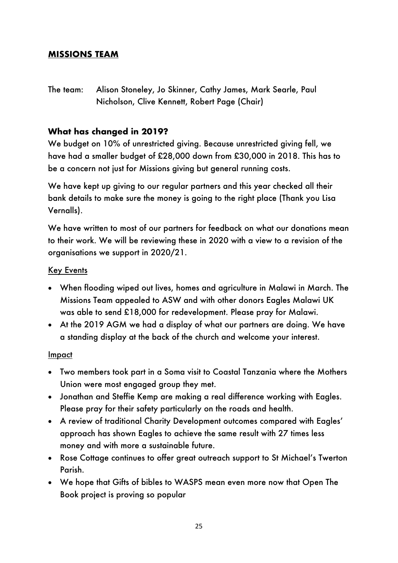# **MISSIONS TEAM**

The team: Alison Stoneley, Jo Skinner, Cathy James, Mark Searle, Paul Nicholson, Clive Kennett, Robert Page (Chair)

## **What has changed in 2019?**

We budget on 10% of unrestricted giving. Because unrestricted giving fell, we have had a smaller budget of £28,000 down from £30,000 in 2018. This has to be a concern not just for Missions giving but general running costs.

We have kept up giving to our regular partners and this year checked all their bank details to make sure the money is going to the right place (Thank you Lisa Vernalls).

We have written to most of our partners for feedback on what our donations mean to their work. We will be reviewing these in 2020 with a view to a revision of the organisations we support in 2020/21.

## **Key Events**

- When flooding wiped out lives, homes and agriculture in Malawi in March. The Missions Team appealed to ASW and with other donors Eagles Malawi UK was able to send £18,000 for redevelopment. Please pray for Malawi.
- At the 2019 AGM we had a display of what our partners are doing. We have a standing display at the back of the church and welcome your interest.

#### Impact

- Two members took part in a Soma visit to Coastal Tanzania where the Mothers Union were most engaged group they met.
- Jonathan and Steffie Kemp are making a real difference working with Eagles. Please pray for their safety particularly on the roads and health.
- A review of traditional Charity Development outcomes compared with Eagles' approach has shown Eagles to achieve the same result with 27 times less money and with more a sustainable future.
- Rose Cottage continues to offer great outreach support to St Michael's Twerton Parish.
- We hope that Gifts of bibles to WASPS mean even more now that Open The Book project is proving so popular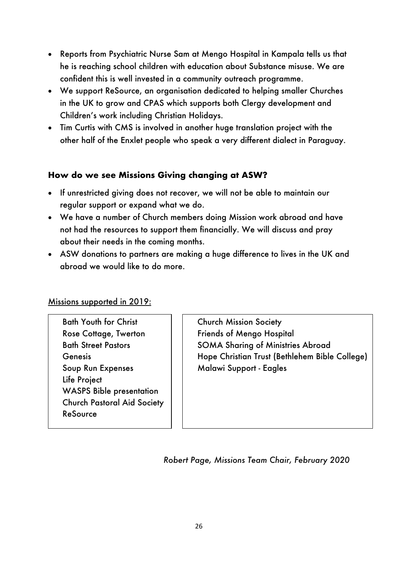- Reports from Psychiatric Nurse Sam at Mengo Hospital in Kampala tells us that he is reaching school children with education about Substance misuse. We are confident this is well invested in a community outreach programme.
- We support ReSource, an organisation dedicated to helping smaller Churches in the UK to grow and CPAS which supports both Clergy development and Children's work including Christian Holidays.
- Tim Curtis with CMS is involved in another huge translation project with the other half of the Enxlet people who speak a very different dialect in Paraguay.

# **How do we see Missions Giving changing at ASW?**

- If unrestricted giving does not recover, we will not be able to maintain our regular support or expand what we do.
- We have a number of Church members doing Mission work abroad and have not had the resources to support them financially. We will discuss and pray about their needs in the coming months.
- ASW donations to partners are making a huge difference to lives in the UK and abroad we would like to do more.

Missions supported in 2019:

Bath Youth for Christ Rose Cottage, Twerton Bath Street Pastors Genesis Soup Run Expenses Life Project WASPS Bible presentation Church Pastoral Aid Society ReSource

Church Mission Society Friends of Mengo Hospital SOMA Sharing of Ministries Abroad Hope Christian Trust (Bethlehem Bible College) Malawi Support - Eagles

*Robert Page, Missions Team Chair, February 2020*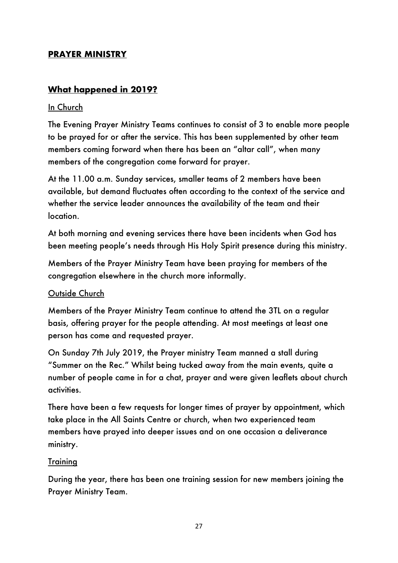## **PRAYER MINISTRY**

# **What happened in 2019?**

#### In Church

The Evening Prayer Ministry Teams continues to consist of 3 to enable more people to be prayed for or after the service. This has been supplemented by other team members coming forward when there has been an "altar call", when many members of the congregation come forward for prayer.

At the 11.00 a.m. Sunday services, smaller teams of 2 members have been available, but demand fluctuates often according to the context of the service and whether the service leader announces the availability of the team and their location.

At both morning and evening services there have been incidents when God has been meeting people's needs through His Holy Spirit presence during this ministry.

Members of the Prayer Ministry Team have been praying for members of the congregation elsewhere in the church more informally.

#### Outside Church

Members of the Prayer Ministry Team continue to attend the 3TL on a regular basis, offering prayer for the people attending. At most meetings at least one person has come and requested prayer.

On Sunday 7th July 2019, the Prayer ministry Team manned a stall during "Summer on the Rec." Whilst being tucked away from the main events, quite a number of people came in for a chat, prayer and were given leaflets about church activities.

There have been a few requests for longer times of prayer by appointment, which take place in the All Saints Centre or church, when two experienced team members have prayed into deeper issues and on one occasion a deliverance ministry.

#### **Training**

During the year, there has been one training session for new members joining the Prayer Ministry Team.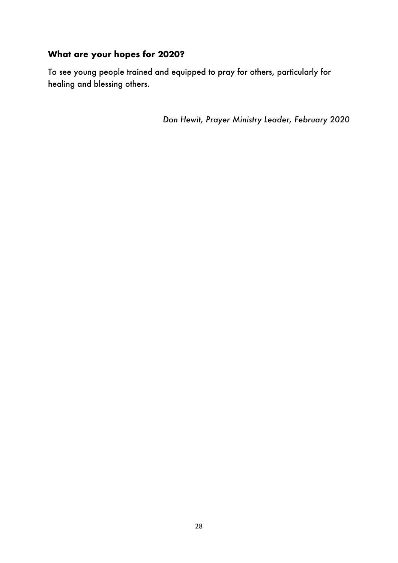# **What are your hopes for 2020?**

To see young people trained and equipped to pray for others, particularly for healing and blessing others.

*Don Hewit, Prayer Ministry Leader, February 2020*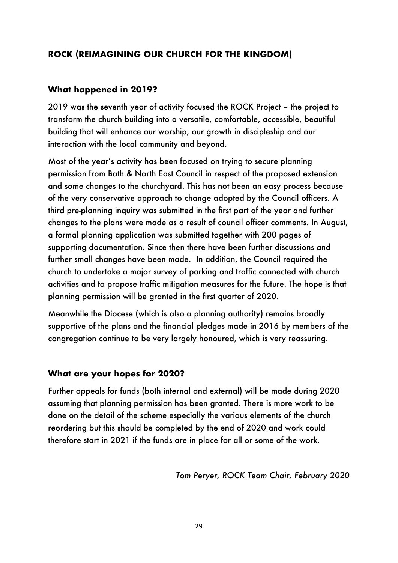# **ROCK (REIMAGINING OUR CHURCH FOR THE KINGDOM)**

## **What happened in 2019?**

2019 was the seventh year of activity focused the ROCK Project – the project to transform the church building into a versatile, comfortable, accessible, beautiful building that will enhance our worship, our growth in discipleship and our interaction with the local community and beyond.

Most of the year's activity has been focused on trying to secure planning permission from Bath & North East Council in respect of the proposed extension and some changes to the churchyard. This has not been an easy process because of the very conservative approach to change adopted by the Council officers. A third pre-planning inquiry was submitted in the first part of the year and further changes to the plans were made as a result of council officer comments. In August, a formal planning application was submitted together with 200 pages of supporting documentation. Since then there have been further discussions and further small changes have been made. In addition, the Council required the church to undertake a major survey of parking and traffic connected with church activities and to propose traffic mitigation measures for the future. The hope is that planning permission will be granted in the first quarter of 2020.

Meanwhile the Diocese (which is also a planning authority) remains broadly supportive of the plans and the financial pledges made in 2016 by members of the congregation continue to be very largely honoured, which is very reassuring.

#### **What are your hopes for 2020?**

Further appeals for funds (both internal and external) will be made during 2020 assuming that planning permission has been granted. There is more work to be done on the detail of the scheme especially the various elements of the church reordering but this should be completed by the end of 2020 and work could therefore start in 2021 if the funds are in place for all or some of the work.

*Tom Peryer, ROCK Team Chair, February 2020*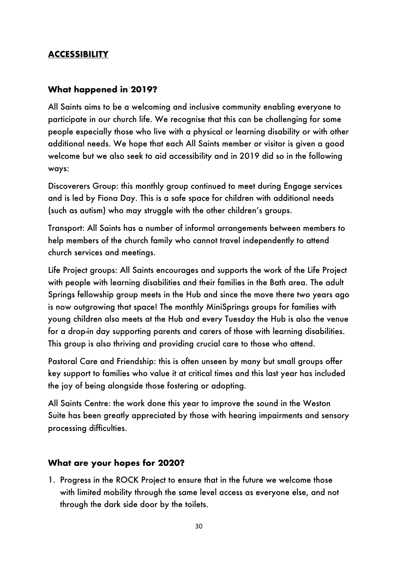## **ACCESSIBILITY**

#### **What happened in 2019?**

All Saints aims to be a welcoming and inclusive community enabling everyone to participate in our church life. We recognise that this can be challenging for some people especially those who live with a physical or learning disability or with other additional needs. We hope that each All Saints member or visitor is given a good welcome but we also seek to aid accessibility and in 2019 did so in the following ways:

Discoverers Group: this monthly group continued to meet during Engage services and is led by Fiona Day. This is a safe space for children with additional needs (such as autism) who may struggle with the other children's groups.

Transport: All Saints has a number of informal arrangements between members to help members of the church family who cannot travel independently to attend church services and meetings.

Life Project groups: All Saints encourages and supports the work of the Life Project with people with learning disabilities and their families in the Bath area. The adult Springs fellowship group meets in the Hub and since the move there two years ago is now outgrowing that space! The monthly MiniSprings groups for families with young children also meets at the Hub and every Tuesday the Hub is also the venue for a drop-in day supporting parents and carers of those with learning disabilities. This group is also thriving and providing crucial care to those who attend.

Pastoral Care and Friendship: this is often unseen by many but small groups offer key support to families who value it at critical times and this last year has included the joy of being alongside those fostering or adopting.

All Saints Centre: the work done this year to improve the sound in the Weston Suite has been greatly appreciated by those with hearing impairments and sensory processing difficulties.

#### **What are your hopes for 2020?**

1. Progress in the ROCK Project to ensure that in the future we welcome those with limited mobility through the same level access as everyone else, and not through the dark side door by the toilets.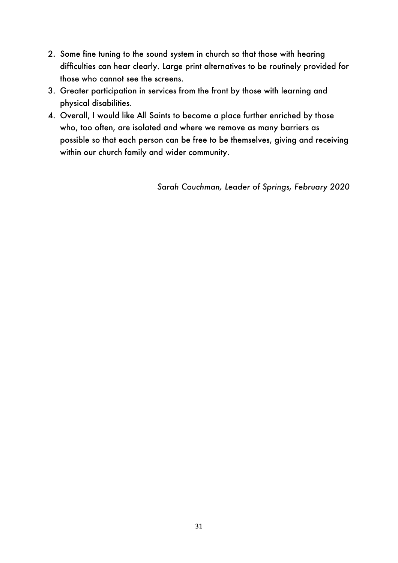- 2. Some fine tuning to the sound system in church so that those with hearing difficulties can hear clearly. Large print alternatives to be routinely provided for those who cannot see the screens.
- 3. Greater participation in services from the front by those with learning and physical disabilities.
- 4. Overall, I would like All Saints to become a place further enriched by those who, too often, are isolated and where we remove as many barriers as possible so that each person can be free to be themselves, giving and receiving within our church family and wider community.

*Sarah Couchman, Leader of Springs, February 2020*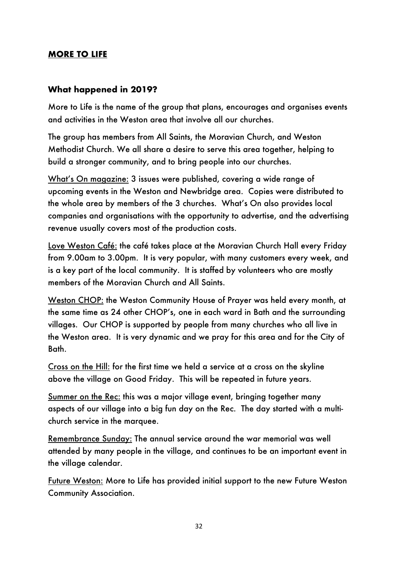## **MORE TO LIFE**

#### **What happened in 2019?**

More to Life is the name of the group that plans, encourages and organises events and activities in the Weston area that involve all our churches.

The group has members from All Saints, the Moravian Church, and Weston Methodist Church. We all share a desire to serve this area together, helping to build a stronger community, and to bring people into our churches.

What's On magazine: 3 issues were published, covering a wide range of upcoming events in the Weston and Newbridge area. Copies were distributed to the whole area by members of the 3 churches. What's On also provides local companies and organisations with the opportunity to advertise, and the advertising revenue usually covers most of the production costs.

Love Weston Café: the café takes place at the Moravian Church Hall every Friday from 9.00am to 3.00pm. It is very popular, with many customers every week, and is a key part of the local community. It is staffed by volunteers who are mostly members of the Moravian Church and All Saints.

Weston CHOP: the Weston Community House of Prayer was held every month, at the same time as 24 other CHOP's, one in each ward in Bath and the surrounding villages. Our CHOP is supported by people from many churches who all live in the Weston area. It is very dynamic and we pray for this area and for the City of Bath.

Cross on the Hill: for the first time we held a service at a cross on the skyline above the village on Good Friday. This will be repeated in future years.

Summer on the Rec: this was a major village event, bringing together many aspects of our village into a big fun day on the Rec. The day started with a multichurch service in the marquee.

Remembrance Sunday: The annual service around the war memorial was well attended by many people in the village, and continues to be an important event in the village calendar.

Future Weston: More to Life has provided initial support to the new Future Weston Community Association.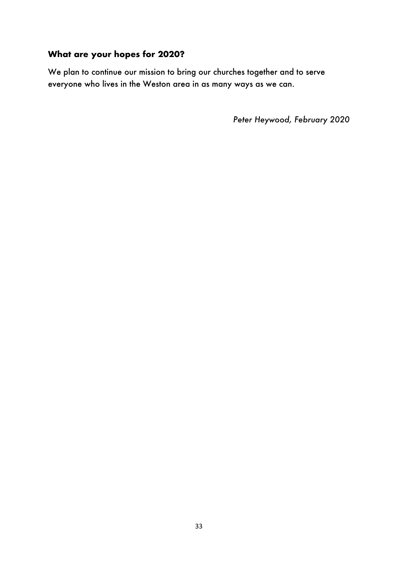# **What are your hopes for 2020?**

We plan to continue our mission to bring our churches together and to serve everyone who lives in the Weston area in as many ways as we can.

*Peter Heywood, February 2020*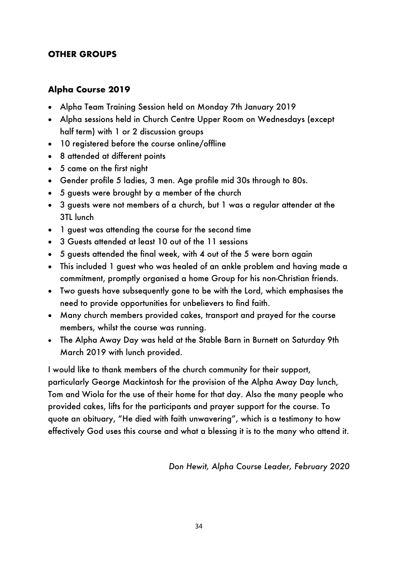## **OTHER GROUPS**

#### **Alpha Course 2019**

- Alpha Team Training Session held on Monday 7th January 2019
- Alpha sessions held in Church Centre Upper Room on Wednesdays (except half term) with 1 or 2 discussion groups
- 10 registered before the course online/offline
- 8 attended at different points
- 5 came on the first night
- Gender profile 5 ladies, 3 men. Age profile mid 30s through to 80s.
- 5 guests were brought by a member of the church
- 3 guests were not members of a church, but 1 was a regular attender at the 3TL lunch
- 1 guest was attending the course for the second time
- 3 Guests attended at least 10 out of the 11 sessions
- 5 guests attended the final week, with 4 out of the 5 were born again
- This included 1 guest who was healed of an ankle problem and having made a commitment, promptly organised a home Group for his non-Christian friends.
- Two guests have subsequently gone to be with the Lord, which emphasises the need to provide opportunities for unbelievers to find faith.
- Many church members provided cakes, transport and prayed for the course members, whilst the course was running.
- The Alpha Away Day was held at the Stable Barn in Burnett on Saturday 9th March 2019 with lunch provided.

I would like to thank members of the church community for their support, particularly George Mackintosh for the provision of the Alpha Away Day lunch, Tom and Wiola for the use of their home for that day. Also the many people who provided cakes, lifts for the participants and prayer support for the course. To quote an obituary, "He died with faith unwavering", which is a testimony to how effectively God uses this course and what a blessing it is to the many who attend it.

*Don Hewit, Alpha Course Leader, February 2020*